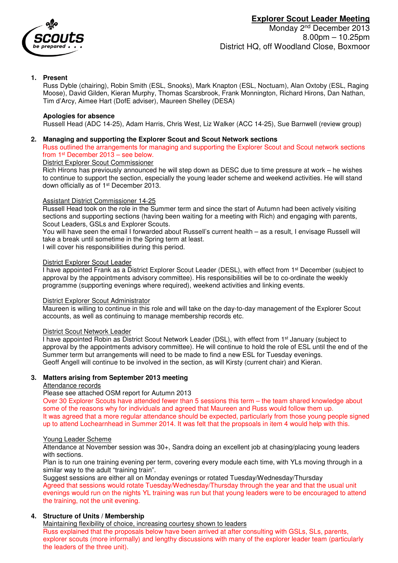

## **1. Present**

Russ Dyble (chairing), Robin Smith (ESL, Snooks), Mark Knapton (ESL, Noctuam), Alan Oxtoby (ESL, Raging Moose), David Gilden, Kieran Murphy, Thomas Scarsbrook, Frank Monnington, Richard Hirons, Dan Nathan, Tim d'Arcy, Aimee Hart (DofE adviser), Maureen Shelley (DESA)

#### **Apologies for absence**

Russell Head (ADC 14-25), Adam Harris, Chris West, Liz Walker (ACC 14-25), Sue Barnwell (review group)

#### **2. Managing and supporting the Explorer Scout and Scout Network sections**

Russ outlined the arrangements for managing and supporting the Explorer Scout and Scout network sections from 1st December 2013 – see below.

#### District Explorer Scout Commissioner

Rich Hirons has previously announced he will step down as DESC due to time pressure at work – he wishes to continue to support the section, especially the young leader scheme and weekend activities. He will stand down officially as of 1st December 2013.

#### Assistant District Commissioner 14-25

Russell Head took on the role in the Summer term and since the start of Autumn had been actively visiting sections and supporting sections (having been waiting for a meeting with Rich) and engaging with parents, Scout Leaders, GSLs and Explorer Scouts.

You will have seen the email I forwarded about Russell's current health – as a result, I envisage Russell will take a break until sometime in the Spring term at least.

I will cover his responsibilities during this period.

#### District Explorer Scout Leader

I have appointed Frank as a District Explorer Scout Leader (DESL), with effect from 1<sup>st</sup> December (subject to approval by the appointments advisory committee). His responsibilities will be to co-ordinate the weekly programme (supporting evenings where required), weekend activities and linking events.

#### District Explorer Scout Administrator

Maureen is willing to continue in this role and will take on the day-to-day management of the Explorer Scout accounts, as well as continuing to manage membership records etc.

#### District Scout Network Leader

I have appointed Robin as District Scout Network Leader (DSL), with effect from 1<sup>st</sup> January (subject to approval by the appointments advisory committee). He will continue to hold the role of ESL until the end of the Summer term but arrangements will need to be made to find a new ESL for Tuesday evenings. Geoff Angell will continue to be involved in the section, as will Kirsty (current chair) and Kieran.

## **3. Matters arising from September 2013 meeting**

#### Attendance records

Please see attached OSM report for Autumn 2013

Over 30 Explorer Scouts have attended fewer than 5 sessions this term – the team shared knowledge about some of the reasons why for individuals and agreed that Maureen and Russ would follow them up. It was agreed that a more regular attendance should be expected, particularly from those young people signed up to attend Lochearnhead in Summer 2014. It was felt that the propsoals in item 4 would help with this.

#### Young Leader Scheme

Attendance at November session was 30+, Sandra doing an excellent job at chasing/placing young leaders with sections.

Plan is to run one training evening per term, covering every module each time, with YLs moving through in a similar way to the adult "training train".

Suggest sessions are either all on Monday evenings or rotated Tuesday/Wednesday/Thursday Agreed that sessions would rotate Tuesday/Wednesday/Thursday through the year and that the usual unit evenings would run on the nights YL training was run but that young leaders were to be encouraged to attend the training, not the unit evening.

## **4. Structure of Units / Membership**

Maintaining flexibility of choice, increasing courtesy shown to leaders

Russ explained that the proposals below have been arrived at after consulting with GSLs, SLs, parents, explorer scouts (more informally) and lengthy discussions with many of the explorer leader team (particularly the leaders of the three unit).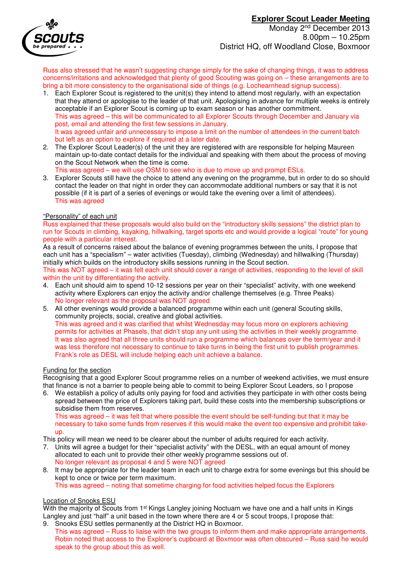

# **Explorer Scout Leader Meeting**

Monday 2<sup>nd</sup> December 2013 8.00pm – 10.25pm District HQ, off Woodland Close, Boxmoor

Russ also stressed that he wasn't suggesting change simply for the sake of changing things, it was to address concerns/irritations and acknowledged that plenty of good Scouting was going on – these arrangements are to bring a bit more consistency to the organisational side of things (e.g. Lochearnhead signup success).

- 1. Each Explorer Scout is registered to the unit(s) they intend to attend most regularly, with an expectation that they attend or apologise to the leader of that unit. Apologising in advance for multiple weeks is entirely acceptable if an Explorer Scout is coming up to exam season or has another commitment. This was agreed – this will be communicated to all Explorer Scouts through December and January via post, email and attending the first few sessions in January. It was agreed unfair and unnecessary to impose a limit on the number of attendees in the current batch but left as an option to explore if required at a later date.
- 2. The Explorer Scout Leader(s) of the unit they are registered with are responsible for helping Maureen maintain up-to-date contact details for the individual and speaking with them about the process of moving on the Scout Network when the time is come.

This was agreed – we will use OSM to see who is due to move up and prompt ESLs.

3. Explorer Scouts still have the choice to attend any evening on the programme, but in order to do so should contact the leader on that night in order they can accommodate additional numbers or say that it is not possible (if it is part of a series of evenings or would take the evening over a limit of attendees). This was agreed

## "Personality" of each unit

Russ explained that these proposals would also build on the "introductory skills sessions" the district plan to run for Scouts in climbing, kayaking, hillwalking, target sports etc and would provide a logical "route" for young people with a particular interest.

As a result of concerns raised about the balance of evening programmes between the units, I propose that each unit has a "specialism" – water activities (Tuesday), climbing (Wednesday) and hillwalking (Thursday) initially which builds on the introductory skills sessions running in the Scout section.

This was NOT agreed – it was felt each unit should cover a range of activities, responding to the level of skill within the unit by differentiating the activity.

- 4. Each unit should aim to spend 10-12 sessions per year on their "specialist" activity, with one weekend activity where Explorers can enjoy the activity and/or challenge themselves (e.g. Three Peaks) No longer relevant as the proposal was NOT agreed
- 5. All other evenings would provide a balanced programme within each unit (general Scouting skills, community projects, social, creative and global activities. This was agreed and it was clarified that whilst Wednesday may focus more on explorers achieving permits for activities at Phasels, that didn't stop any unit using the activities in their weekly programme. It was also agreed that all three units should run a programme which balances over the term/year and it was less therefore not necessary to continue to take turns in being the first unit to publish programmes. Frank's role as DESL will include helping each unit achieve a balance.

## Funding for the section

Recognising that a good Explorer Scout programme relies on a number of weekend activities, we must ensure that finance is not a barrier to people being able to commit to being Explorer Scout Leaders, so I propose

6. We establish a policy of adults only paying for food and activities they participate in with other costs being spread between the price of Explorers taking part, build these costs into the membership subscriptions or subsidise them from reserves.

This was agreed – it was felt that where possible the event should be self-funding but that it may be necessary to take some funds from reserves if this would make the event too expensive and prohibit takeup.

This policy will mean we need to be clearer about the number of adults required for each activity.

- 7. Units will agree a budget for their "specialist activity" with the DESL, with an equal amount of money allocated to each unit to provide their other weekly programme sessions out of. No longer relevant as proposal 4 and 5 were NOT agreed
- 8. It may be appropriate for the leader team in each unit to charge extra for some evenings but this should be kept to once or twice per term maximum.

## This was agreed – noting that sometime charging for food activities helped focus the Explorers

## Location of Snooks ESU

With the majority of Scouts from 1<sup>st</sup> Kings Langley joining Noctuam we have one and a half units in Kings Langley and just "half" a unit based in the town where there are 4 or 5 scout troops, I propose that:

9. Snooks ESU settles permanently at the District HQ in Boxmoor. This was agreed – Russ to liaise with the two groups to inform them and make appropriate arrangements. Robin noted that access to the Explorer's cupboard at Boxmoor was often obscured – Russ said he would speak to the group about this as well.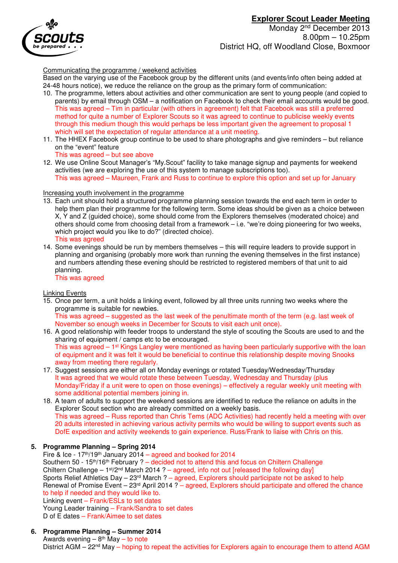

Monday 2<sup>nd</sup> December 2013 8.00pm – 10.25pm District HQ, off Woodland Close, Boxmoor

Communicating the programme / weekend activities

Based on the varying use of the Facebook group by the different units (and events/info often being added at 24-48 hours notice), we reduce the reliance on the group as the primary form of communication:

- 10. The programme, letters about activities and other communication are sent to young people (and copied to parents) by email through OSM – a notification on Facebook to check their email accounts would be good. This was agreed – Tim in particular (with others in agreement) felt that Facebook was still a preferred method for quite a number of Explorer Scouts so it was agreed to continue to publicise weekly events through this medium though this would perhaps be less important given the agreement to proposal 1 which will set the expectation of regular attendance at a unit meeting.
- 11. The HHEX Facebook group continue to be used to share photographs and give reminders but reliance on the "event" feature This was agreed – but see above
- 12. We use Online Scout Manager's "My.Scout" facility to take manage signup and payments for weekend activities (we are exploring the use of this system to manage subscriptions too). This was agreed – Maureen, Frank and Russ to continue to explore this option and set up for January

#### Increasing youth involvement in the programme

- 13. Each unit should hold a structured programme planning session towards the end each term in order to help them plan their programme for the following term. Some ideas should be given as a choice between X, Y and Z (guided choice), some should come from the Explorers themselves (moderated choice) and others should come from choosing detail from a framework – i.e. "we're doing pioneering for two weeks, which project would you like to do?" (directed choice). This was agreed
- 14. Some evenings should be run by members themselves this will require leaders to provide support in planning and organising (probably more work than running the evening themselves in the first instance) and numbers attending these evening should be restricted to registered members of that unit to aid planning.

This was agreed

#### Linking Events

- 15. Once per term, a unit holds a linking event, followed by all three units running two weeks where the programme is suitable for newbies. This was agreed – suggested as the last week of the penultimate month of the term (e.g. last week of November so enough weeks in December for Scouts to visit each unit once).
- 16. A good relationship with feeder troops to understand the style of scouting the Scouts are used to and the sharing of equipment / camps etc to be encouraged. This was agreed – 1<sup>st</sup> Kings Langley were mentioned as having been particularly supportive with the loan of equipment and it was felt it would be beneficial to continue this relationship despite moving Snooks away from meeting there regularly.
- 17. Suggest sessions are either all on Monday evenings or rotated Tuesday/Wednesday/Thursday It was agreed that we would rotate these between Tuesday, Wednesday and Thursday (plus Monday/Friday if a unit were to open on those evenings) – effectively a regular weekly unit meeting with some additional potential members joining in.
- 18. A team of adults to support the weekend sessions are identified to reduce the reliance on adults in the Explorer Scout section who are already committed on a weekly basis. This was agreed – Russ reported than Chris Tems (ADC Activities) had recently held a meeting with over 20 adults interested in achieving various activity permits who would be willing to support events such as DofE expedition and activity weekends to gain experience. Russ/Frank to liaise with Chris on this.

## **5. Programme Planning – Spring 2014**

Fire & Ice - 17th/19th January 2014 – agreed and booked for 2014 Southern 50 -  $15<sup>th</sup>/16<sup>th</sup>$  February ? – decided not to attend this and focus on Chiltern Challenge Chiltern Challenge –  $1^{st}/2^{nd}$  March 2014 ? – agreed, info not out [released the following day] Sports Relief Athletics Day - 23<sup>rd</sup> March ? - agreed, Explorers should participate not be asked to help Renewal of Promise Event – 23<sup>rd</sup> April 2014 ? – agreed, Explorers should participate and offered the chance to help if needed and they would like to. Linking event – Frank/ESLs to set dates Young Leader training – Frank/Sandra to set dates D of E dates – Frank/Aimee to set dates

## **6. Programme Planning – Summer 2014**

Awards evening  $-8$ <sup>th</sup> May  $-$  to note District AGM – 22<sup>nd</sup> May – hoping to repeat the activities for Explorers again to encourage them to attend AGM